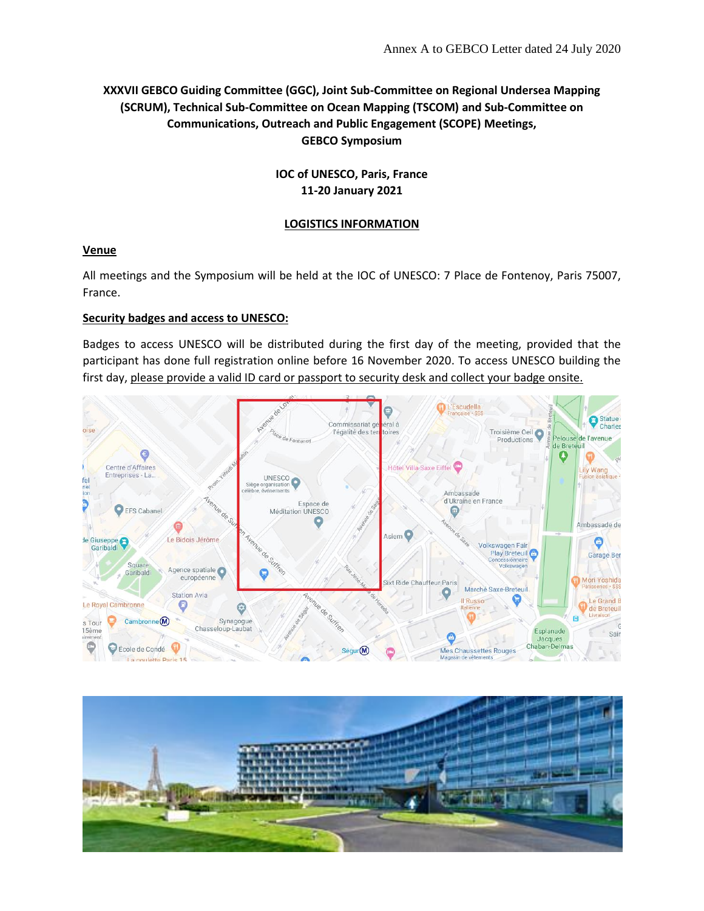# **XXXVII GEBCO Guiding Committee (GGC), Joint Sub-Committee on Regional Undersea Mapping (SCRUM), Technical Sub-Committee on Ocean Mapping (TSCOM) and Sub-Committee on Communications, Outreach and Public Engagement (SCOPE) Meetings, GEBCO Symposium**

# **IOC of UNESCO, Paris, France 11-20 January 2021**

## **LOGISTICS INFORMATION**

# **Venue**

All meetings and the Symposium will be held at the IOC of UNESCO: 7 Place de Fontenoy, Paris 75007, France.

# **Security badges and access to UNESCO:**

Badges to access UNESCO will be distributed during the first day of the meeting, provided that the participant has done full registration online before 16 November 2020. To access UNESCO building the first day, please provide a valid ID card or passport to security desk and collect your badge onsite.



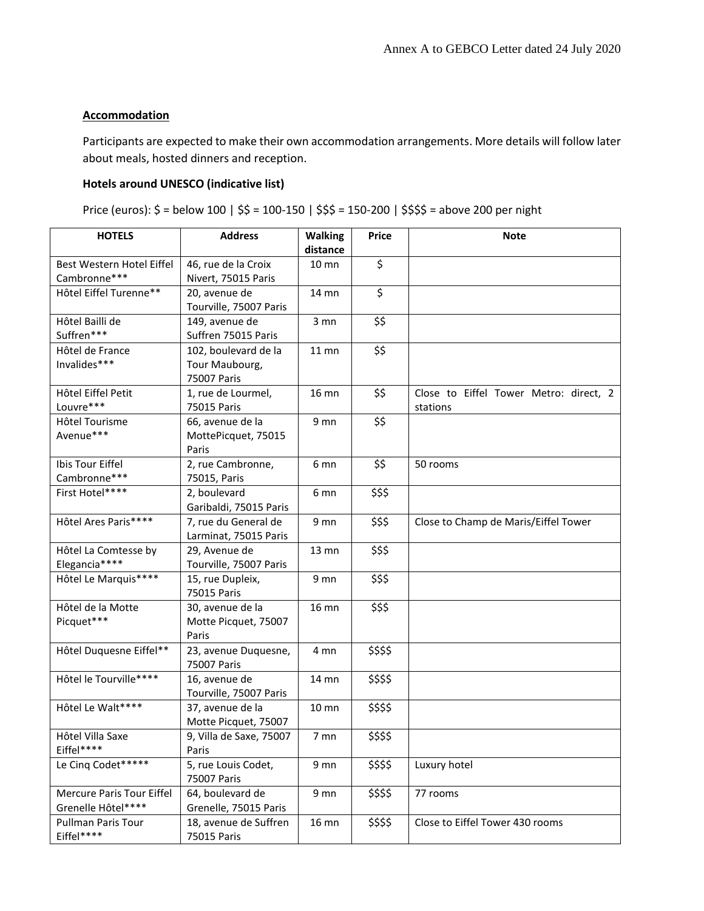## **Accommodation**

Participants are expected to make their own accommodation arrangements. More details will follow later about meals, hosted dinners and reception.

## **Hotels around UNESCO (indicative list)**

Price (euros): \$ = below 100 | \$\$ = 100-150 | \$\$\$ = 150-200 | \$\$\$\$ = above 200 per night

| <b>HOTELS</b>                                          | <b>Address</b>                                        | <b>Walking</b><br>distance | <b>Price</b> | <b>Note</b>                                        |
|--------------------------------------------------------|-------------------------------------------------------|----------------------------|--------------|----------------------------------------------------|
| Best Western Hotel Eiffel<br>Cambronne***              | 46, rue de la Croix<br>Nivert, 75015 Paris            | $10 \text{ mm}$            | \$           |                                                    |
| Hôtel Eiffel Turenne**                                 | 20, avenue de<br>Tourville, 75007 Paris               | 14 mn                      | \$           |                                                    |
| Hôtel Bailli de<br>Suffren***                          | 149, avenue de<br>Suffren 75015 Paris                 | $3 \text{mn}$              | \$\$         |                                                    |
| Hôtel de France<br>Invalides***                        | 102, boulevard de la<br>Tour Maubourg,<br>75007 Paris | $11$ mn                    | \$\$         |                                                    |
| Hôtel Eiffel Petit<br>Louvre***                        | 1, rue de Lourmel,<br>75015 Paris                     | 16 mn                      | \$\$         | Close to Eiffel Tower Metro: direct, 2<br>stations |
| Hôtel Tourisme<br>Avenue***                            | 66, avenue de la<br>MottePicquet, 75015<br>Paris      | 9 mn                       | \$\$         |                                                    |
| Ibis Tour Eiffel<br>Cambronne***                       | 2, rue Cambronne,<br>75015, Paris                     | 6 mn                       | \$\$         | 50 rooms                                           |
| First Hotel****                                        | 2, boulevard<br>Garibaldi, 75015 Paris                | 6 mn                       | \$\$\$       |                                                    |
| Hôtel Ares Paris****                                   | 7, rue du General de<br>Larminat, 75015 Paris         | 9 mn                       | \$\$\$       | Close to Champ de Maris/Eiffel Tower               |
| Hôtel La Comtesse by<br>Elegancia****                  | 29, Avenue de<br>Tourville, 75007 Paris               | 13 mn                      | \$\$\$       |                                                    |
| Hôtel Le Marquis****                                   | 15, rue Dupleix,<br>75015 Paris                       | 9 mn                       | \$\$\$       |                                                    |
| Hôtel de la Motte<br>Picquet***                        | 30, avenue de la<br>Motte Picquet, 75007<br>Paris     | 16 mn                      | \$\$\$       |                                                    |
| Hôtel Duquesne Eiffel**                                | 23, avenue Duquesne,<br>75007 Paris                   | 4 mn                       | \$\$\$\$     |                                                    |
| Hôtel le Tourville****                                 | 16, avenue de<br>Tourville, 75007 Paris               | 14 mn                      | \$\$\$\$     |                                                    |
| Hôtel Le Walt****                                      | 37, avenue de la<br>Motte Picquet, 75007              | 10 mn                      | \$\$\$\$     |                                                    |
| Hôtel Villa Saxe<br>Eiffel****                         | 9, Villa de Saxe, 75007<br>Paris                      | 7 <sub>mn</sub>            | \$\$\$\$     |                                                    |
| Le Cinq Codet*****                                     | 5, rue Louis Codet,<br>75007 Paris                    | 9 mn                       | \$\$\$\$     | Luxury hotel                                       |
| <b>Mercure Paris Tour Eiffel</b><br>Grenelle Hôtel**** | 64, boulevard de<br>Grenelle, 75015 Paris             | 9 mn                       | \$\$\$\$     | 77 rooms                                           |
| Pullman Paris Tour<br>Eiffel****                       | 18, avenue de Suffren<br>75015 Paris                  | 16 mn                      | \$\$\$\$     | Close to Eiffel Tower 430 rooms                    |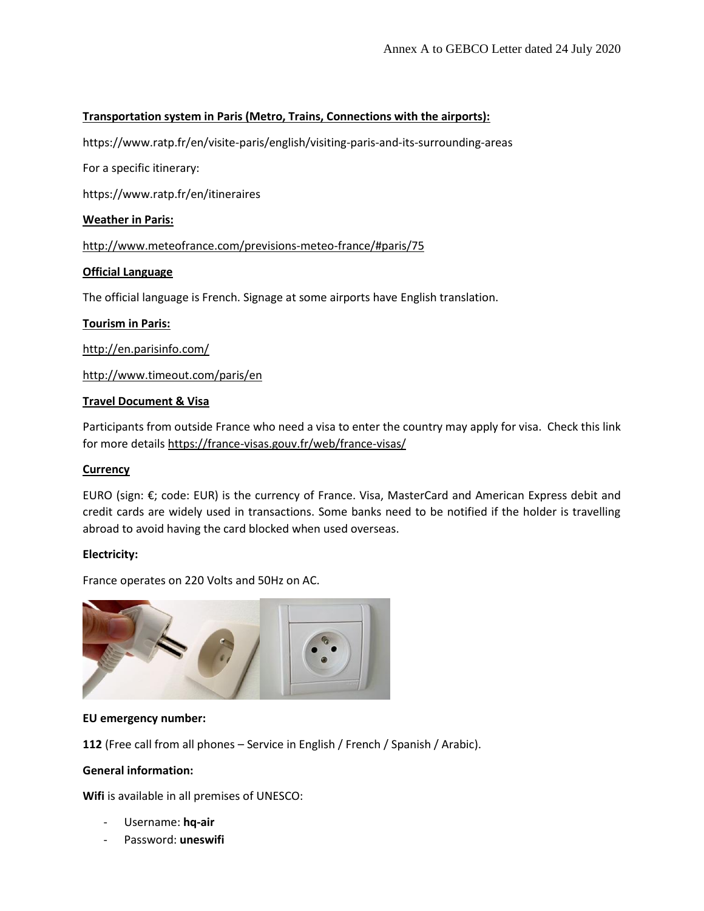## **Transportation system in Paris (Metro, Trains, Connections with the airports):**

https://www.ratp.fr/en/visite-paris/english/visiting-paris-and-its-surrounding-areas

For a specific itinerary:

https://www.ratp.fr/en/itineraires

## **Weather in Paris:**

<http://www.meteofrance.com/previsions-meteo-france/#paris/75>

## **Official Language**

The official language is French. Signage at some airports have English translation.

### **Tourism in Paris:**

<http://en.parisinfo.com/>

<http://www.timeout.com/paris/en>

## **Travel Document & Visa**

Participants from outside France who need a visa to enter the country may apply for visa. Check this link for more details<https://france-visas.gouv.fr/web/france-visas/>

### **Currency**

EURO (sign: €; code: EUR) is the currency of France. Visa, MasterCard and American Express debit and credit cards are widely used in transactions. Some banks need to be notified if the holder is travelling abroad to avoid having the card blocked when used overseas.

### **Electricity:**

France operates on 220 Volts and 50Hz on AC.



### **EU emergency number:**

**112** (Free call from all phones – Service in English / French / Spanish / Arabic).

### **General information:**

**Wifi** is available in all premises of UNESCO:

- Username: **hq-air**
- Password: **uneswifi**